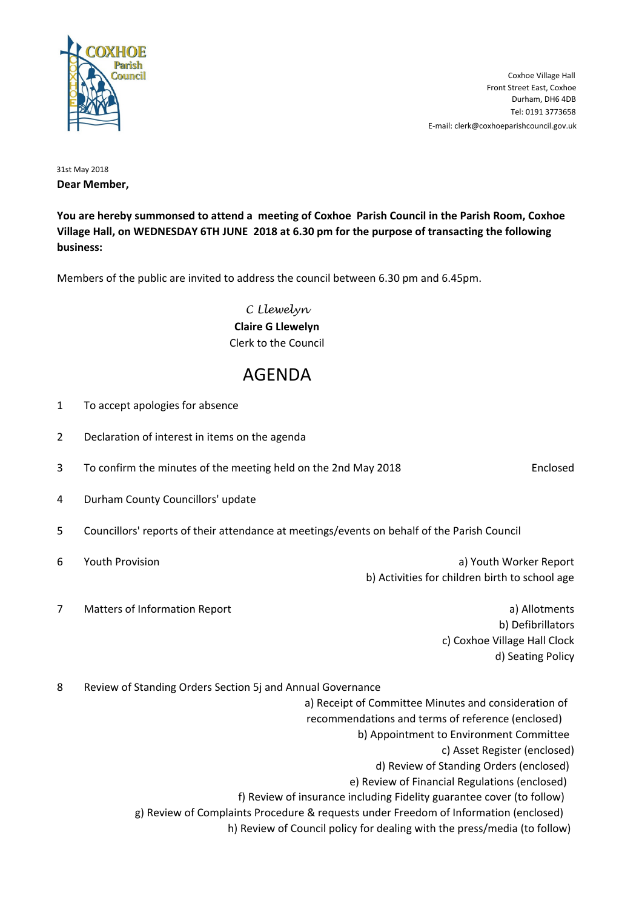

E-mail: clerk@coxhoeparishcouncil.gov.uk Tel: 0191 3773658 Durham, DH6 4DB Front Street East, Coxhoe Coxhoe Village Hall

31st May 2018 **Dear Member,**

**You are hereby summonsed to attend a meeting of Coxhoe Parish Council in the Parish Room, Coxhoe Village Hall, on WEDNESDAY 6TH JUNE 2018 at 6.30 pm for the purpose of transacting the following business:**

Members of the public are invited to address the council between 6.30 pm and 6.45pm.

C Llewelyn **Claire G Llewelyn** Clerk to the Council

## AGENDA

2 Declaration of interest in items on the agenda 3 To confirm the minutes of the meeting held on the 2nd May 2018 **Enclosed** 6 Youth Provision a) Youth Worker Report 7 Matters of Information Report **and Contract and Contract and Contract a**) Allotments

4 Durham County Councillors' update

1 To accept apologies for absence

- 5 Councillors' reports of their attendance at meetings/events on behalf of the Parish Council
- 

b) Activities for children birth to school age

b) Defibrillators c) Coxhoe Village Hall Clock d) Seating Policy

8 Review of Standing Orders Section 5j and Annual Governance

a) Receipt of Committee Minutes and consideration of

recommendations and terms of reference (enclosed)

b) Appointment to Environment Committee

c) Asset Register (enclosed)

d) Review of Standing Orders (enclosed)

e) Review of Financial Regulations (enclosed)

f) Review of insurance including Fidelity guarantee cover (to follow)

g) Review of Complaints Procedure & requests under Freedom of Information (enclosed)

h) Review of Council policy for dealing with the press/media (to follow)